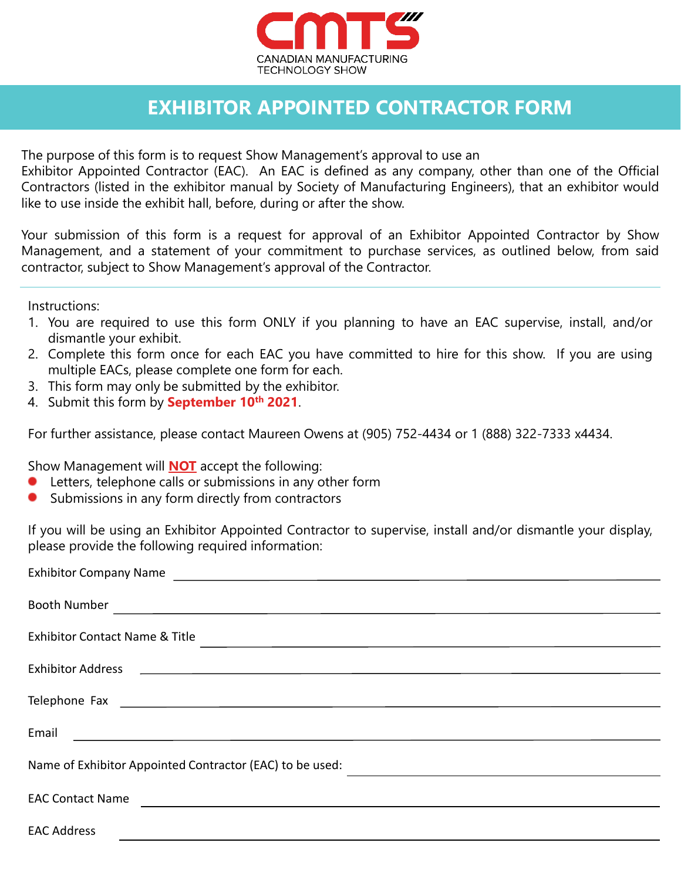

## **EXHIBITOR APPOINTED CONTRACTOR FORM**

The purpose of this form is to request Show Management's approval to use an

Exhibitor Appointed Contractor (EAC). An EAC is defined as any company, other than one of the Official Contractors (listed in the exhibitor manual by Society of Manufacturing Engineers), that an exhibitor would like to use inside the exhibit hall, before, during or after the show.

Your submission of this form is a request for approval of an Exhibitor Appointed Contractor by Show Management, and a statement of your commitment to purchase services, as outlined below, from said contractor, subject to Show Management's approval of the Contractor.

Instructions:

- 1. You are required to use this form ONLY if you planning to have an EAC supervise, install, and/or dismantle your exhibit.
- 2. Complete this form once for each EAC you have committed to hire for this show. If you are using multiple EACs, please complete one form for each.
- 3. This form may only be submitted by the exhibitor.
- 4. Submit this form by **September 10th 2021**.

For further assistance, please contact Maureen Owens at (905) 752-4434 or 1 (888) 322-7333 x4434.

Show Management will **NOT** accept the following:

- Letters, telephone calls or submissions in any other form
- Submissions in any form directly from contractors  $\bullet$

If you will be using an Exhibitor Appointed Contractor to supervise, install and/or dismantle your display, please provide the following required information:

| Booth Number<br><u> 1989 - Johann Stein, marwolaethau a bhann an t-Amhain an t-Amhain an t-Amhain an t-Amhain an t-Amhain an t-A</u>                                             |
|----------------------------------------------------------------------------------------------------------------------------------------------------------------------------------|
| <b>Exhibitor Contact Name &amp; Title</b><br><u> 1989 - Johann Stoff, deutscher Stoffen und der Stoffen und der Stoffen und der Stoffen und der Stoffen und de</u>               |
| Exhibitor Address 2008 2009 2009 2009 2010 2010 2021 2030 2040 2050 2061 2071 2080 2091 2009 2010 2021 2022 20                                                                   |
|                                                                                                                                                                                  |
| Email<br><u> Alexandria de la contrada de la contrada de la contrada de la contrada de la contrada de la contrada de la c</u>                                                    |
| Name of Exhibitor Appointed Contractor (EAC) to be used:<br><u> Alexandria de la contrada de la contrada de la contrada de la contrada de la contrada de la contrada de la c</u> |
| <b>EAC Contact Name</b><br><u> 1989 - Johann Stein, fransk politik (d. 1989)</u>                                                                                                 |
| <b>EAC Address</b>                                                                                                                                                               |